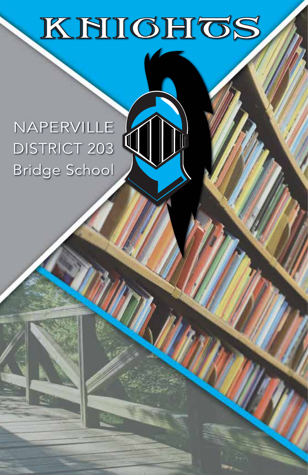# KHIGHGS

## NAPERVILLE DISTRICT 203 Bridge School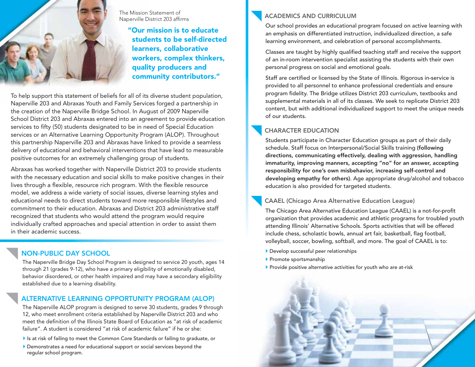

The Mission Statement of Naperville District 203 affirms

> "Our mission is to educate students to be self-directed learners, collaborative workers, complex thinkers, quality producers and community contributors."

To help support this statement of beliefs for all of its diverse student population, Naperville 203 and Abraxas Youth and Family Services forged a partnership in the creation of the Naperville Bridge School. In August of 2009 Naperville School District 203 and Abraxas entered into an agreement to provide education services to fifty (50) students designated to be in need of Special Education services or an Alternative Learning Opportunity Program (ALOP). Throughout this partnership Naperville 203 and Abraxas have linked to provide a seamless delivery of educational and behavioral interventions that have lead to measurable positive outcomes for an extremely challenging group of students.

Abraxas has worked together with Naperville District 203 to provide students with the necessary education and social skills to make positive changes in their lives through a flexible, resource rich program. With the flexible resource model, we address a wide variety of social issues, diverse learning styles and educational needs to direct students toward more responsible lifestyles and commitment to their education. Abraxas and District 203 administrative staff recognized that students who would attend the program would require individually crafted approaches and special attention in order to assist them in their academic success.

#### NON-PUBLIC DAY SCHOOL

The Naperville Bridge Day School Program is designed to service 20 youth, ages 14 through 21 (grades 9-12), who have a primary eligibility of emotionally disabled, behavior disordered, or other health impaired and may have a secondary eligibility established due to a learning disability.

#### ALTERNATIVE LEARNING OPPORTUNITY PROGRAM (ALOP)

The Naperville ALOP program is designed to serve 30 students, grades 9 through 12, who meet enrollment criteria established by Naperville District 203 and who meet the definition of the Illinois State Board of Education as "at risk of academic failure". A student is considered "at risk of academic failure" if he or she:

- Is at risk of failing to meet the Common Core Standards or failing to graduate, or
- Demonstrates a need for educational support or social services beyond the regular school program.

#### ACADEMICS AND CURRICULUM

Our school provides an educational program focused on active learning with an emphasis on differentiated instruction, individualized direction, a safe learning environment, and celebration of personal accomplishments.

Classes are taught by highly qualified teaching staff and receive the support of an in-room intervention specialist assisting the students with their own personal progress on social and emotional goals.

Staff are certified or licensed by the State of Illinois. Rigorous in-service is provided to all personnel to enhance professional credentials and ensure program fidelity. The Bridge utilizes District 203 curriculum, textbooks and supplemental materials in all of its classes. We seek to replicate District 203 content, but with additional individualized support to meet the unique needs of our students.

### CHARACTER EDUCATION

Students participate in Character Education groups as part of their daily schedule. Staff focus on Interpersonal/Social Skills training (following directions, communicating effectively, dealing with aggression, handling immaturity, improving manners, accepting "no" for an answer, accepting responsibility for one's own misbehavior, increasing self-control and developing empathy for others). Age appropriate drug/alcohol and tobacco education is also provided for targeted students.

CAAEL (Chicago Area Alternative Education League)

The Chicago Area Alternative Education League (CAAEL) is a not-for-profit organization that provides academic and athletic programs for troubled youth attending Illinois' Alternative Schools. Sports activities that will be offered include chess, scholastic bowls, annual art fair, basketball, flag football, volleyball, soccer, bowling, softball, and more. The goal of CAAEL is to:

- Develop successful peer relationships
- Promote sportsmanship
- Provide positive alternative activities for youth who are at-risk

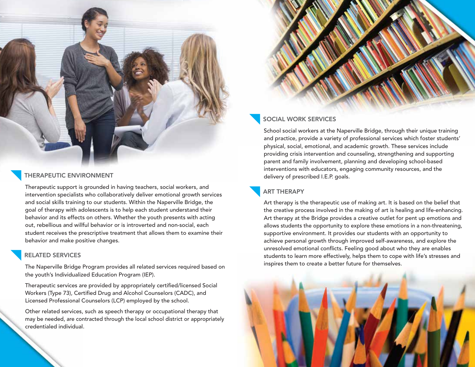Therapeutic support is grounded in having teachers, social workers, and<br>intervention specialists who collaboratively deliver emotional growth services **ART THERAPY** and social skills training to our students. Within the Naperville Bridge, the goal of therapy with adolescents is to help each student understand their behavior and its effects on others. Whether the youth presents with acting out, rebellious and willful behavior or is introverted and non-social, each student receives the prescriptive treatment that allows them to examine their behavior and make positive changes. THERAPEUTIC ENVIRONMENT<br>Therapeutic support is grounded in having teachers, social workers, and

#### RELATED SERVICES

The Naperville Bridge Program provides all related services required based on the youth's Individualized Education Program (IEP).

Therapeutic services are provided by appropriately certified/licensed Social Workers (Type 73), Certified Drug and Alcohol Counselors (CADC), and Licensed Professional Counselors (LCP) employed by the school.

Other related services, such as speech therapy or occupational therapy that may be needed, are contracted through the local school district or appropriately credentialed individual.

#### SOCIAL WORK SERVICES

School social workers at the Naperville Bridge, through their unique training and practice, provide a variety of professional services which foster students' physical, social, emotional, and academic growth. These services include providing crisis intervention and counseling, strengthening and supporting parent and family involvement, planning and developing school-based interventions with educators, engaging community resources, and the delivery of prescribed I.E.P. goals.

Art therapy is the therapeutic use of making art. It is based on the belief that the creative process involved in the making of art is healing and life-enhancing. Art therapy at the Bridge provides a creative outlet for pent up emotions and allows students the opportunity to explore these emotions in a non-threatening, supportive environment. It provides our students with an opportunity to achieve personal growth through improved self-awareness, and explore the unresolved emotional conflicts. Feeling good about who they are enables students to learn more effectively, helps them to cope with life's stresses and inspires them to create a better future for themselves.

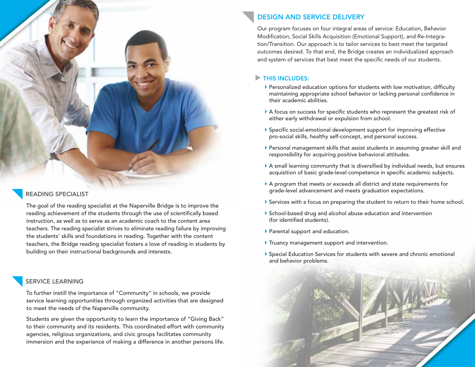

#### READING SPECIALIST

The goal of the reading specialist at the Naperville Bridge is to improve the reading achievement of the students through the use of scientifically based instruction, as well as to serve as an academic coach to the content area teachers. The reading specialist strives to eliminate reading failure by improving the students' skills and foundations in reading. Together with the content teachers, the Bridge reading specialist fosters a love of reading in students by building on their instructional backgrounds and interests.

#### SERVICE LEARNING

To further instill the importance of "Community" in schools, we provide service learning opportunities through organized activities that are designed to meet the needs of the Naperville community.

Students are given the opportunity to learn the importance of "Giving Back" to their community and its residents. This coordinated effort with community agencies, religious organizations, and civic groups facilitates community immersion and the experience of making a difference in another persons life.

## DESIGN AND SERVICE DELIVERY

Our program focuses on four integral areas of service: Education, Behavior Modification, Social Skills Acquisition (Emotional Support), and Re-Integration/Transition. Our approach is to tailor services to best meet the targeted outcomes desired. To that end, the Bridge creates an individualized approach and system of services that best meet the specific needs of our students.

#### **THIS INCLUDES:**

- Personalized education options for students with low motivation, difficulty maintaining appropriate school behavior or lacking personal confidence in their academic abilities.
- A focus on success for specific students who represent the greatest risk of either early withdrawal or expulsion from school.
- Specific social-emotional development support for improving effective pro-social skills, healthy self-concept, and personal success.
- Personal management skills that assist students in assuming greater skill and responsibility for acquiring positive behavioral attitudes.
- A small learning community that is diversified by individual needs, but ensures acquisition of basic grade-level competence in specific academic subjects.
- A program that meets or exceeds all district and state requirements for grade-level advancement and meets graduation expectations.
- Services with a focus on preparing the student to return to their home school.
- School-based drug and alcohol abuse education and intervention (for identified students).
- **Parental support and education.**
- **Truancy management support and intervention.**
- Special Education Services for students with severe and chronic emotional and behavior problems.